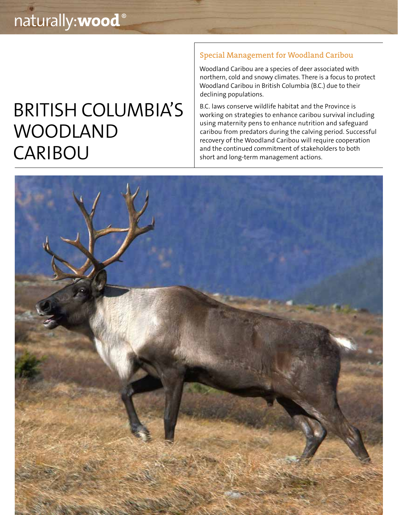## BRITISH COLUMBIA'S WOODLAND CARIBOU

### Special Management for Woodland Caribou

Woodland Caribou are a species of deer associated with northern, cold and snowy climates. There is a focus to protect Woodland Caribou in British Columbia (B.C.) due to their declining populations.

B.C. laws conserve wildlife habitat and the Province is working on strategies to enhance caribou survival including using maternity pens to enhance nutrition and safeguard caribou from predators during the calving period. Successful recovery of the Woodland Caribou will require cooperation and the continued commitment of stakeholders to both short and long-term management actions.

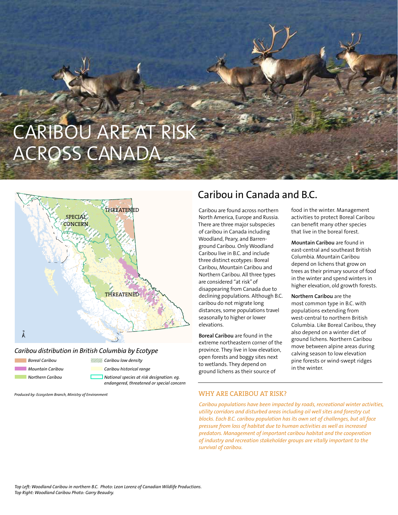# CARIBOU ARE AT RISK ACROSS CANADA



### *Caribou distribution in British Columbia by Ecotype*

| <b>Boreal Caribou</b> | ////////// Caribou low density                                                         |
|-----------------------|----------------------------------------------------------------------------------------|
| Mountain Caribou      | Caribou historical range                                                               |
| Northern Caribou      | National species at risk designation: eq.<br>endangered, threatened or special concern |

*Produced by: Ecosystem Branch, Ministry of Environment*

### Caribou in Canada and B.C.

Caribou are found across northern North America, Europe and Russia. There are three major subspecies of caribou in Canada including Woodland, Peary, and Barrenground Caribou. Only Woodland Caribou live in B.C. and include three distinct ecotypes: Boreal Caribou, Mountain Caribou and Northern Caribou. All three types are considered "at risk" of disappearing from Canada due to declining populations. Although B.C. caribou do not migrate long distances, some populations travel seasonally to higher or lower elevations.

**Boreal Caribou** are found in the extreme northeastern corner of the province. They live in low elevation, open forests and boggy sites next to wetlands. They depend on ground lichens as their source of

food in the winter. Management activities to protect Boreal Caribou can benefit many other species that live in the boreal forest.

**Mountain Caribou** are found in east-central and southeast British Columbia. Mountain Caribou depend on lichens that grow on trees as their primary source of food in the winter and spend winters in higher elevation, old growth forests.

**Northern Caribou** are the most common type in B.C. with populations extending from west-central to northern British Columbia. Like Boreal Caribou, they also depend on a winter diet of ground lichens. Northern Caribou move between alpine areas during calving season to low elevation pine forests or wind-swept ridges in the winter.

### WHY ARE CARIBOU AT RISK?

*Caribou populations have been impacted by roads, recreational winter activities, utility corridors and disturbed areas including oil well sites and forestry cut blocks. Each B.C. caribou population has its own set of challenges, but all face pressure from loss of habitat due to human activities as well as increased predators. Management of important caribou habitat and the cooperation of industry and recreation stakeholder groups are vitally important to the survival of caribou.*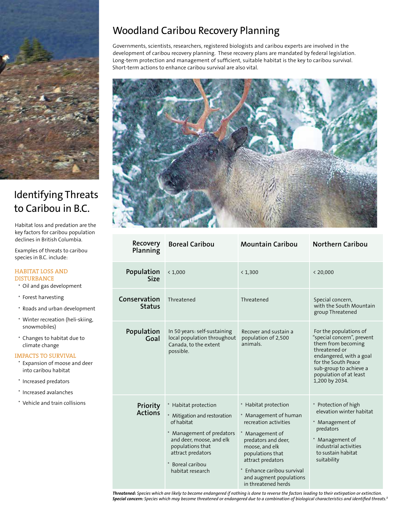

### Identifying Threats to Caribou in B.C.

Habitat loss and predation are the key factors for caribou population declines in British Columbia.

Examples of threats to caribou species in B.C. include:

#### HABITAT LOSS AND **DISTURBANCE**

- · Oil and gas development
- · Forest harvesting
- · Roads and urban development
- · Winter recreation (heli-skiing, snowmobiles)
- · Changes to habitat due to climate change

#### IMPACTS TO SURVIVAL

- · Expansion of moose and deer into caribou habitat
- · Increased predators
- · Increased avalanches
- · Vehicle and train collisions

### Woodland Caribou Recovery Planning

Governments, scientists, researchers, registered biologists and caribou experts are involved in the development of caribou recovery planning. These recovery plans are mandated by federal legislation. Long-term protection and management of sufficient, suitable habitat is the key to caribou survival. Short-term actions to enhance caribou survival are also vital.



| Recovery<br>Planning          | <b>Boreal Caribou</b>                                                                                                                                                                                      | <b>Mountain Caribou</b>                                                                                                                                                                                                                                 | <b>Northern Caribou</b>                                                                                                                                                                                             |
|-------------------------------|------------------------------------------------------------------------------------------------------------------------------------------------------------------------------------------------------------|---------------------------------------------------------------------------------------------------------------------------------------------------------------------------------------------------------------------------------------------------------|---------------------------------------------------------------------------------------------------------------------------------------------------------------------------------------------------------------------|
| Population<br><b>Size</b>     | < 1,000                                                                                                                                                                                                    | < 1,300                                                                                                                                                                                                                                                 | < 20,000                                                                                                                                                                                                            |
| Conservation<br><b>Status</b> | Threatened                                                                                                                                                                                                 | Threatened                                                                                                                                                                                                                                              | Special concern,<br>with the South Mountain<br>group Threatened                                                                                                                                                     |
| Population<br>Goal            | In 50 years: self-sustaining<br>local population throughout<br>Canada, to the extent<br>possible.                                                                                                          | Recover and sustain a<br>population of 2,500<br>animals.                                                                                                                                                                                                | For the populations of<br>"special concern", prevent<br>them from becoming<br>threatened or<br>endangered, with a goal<br>for the South Peace<br>sub-group to achieve a<br>population of at least<br>1,200 by 2034. |
| Priority<br><b>Actions</b>    | * Habitat protection<br>* Mitigation and restoration<br>of habitat<br>* Management of predators<br>and deer, moose, and elk<br>populations that<br>attract predators<br>Boreal caribou<br>habitat research | * Habitat protection<br>* Management of human<br>recreation activities<br>Management of<br>predators and deer,<br>moose, and elk<br>populations that<br>attract predators<br>Enhance caribou survival<br>and augment populations<br>in threatened herds | * Protection of high<br>elevation winter habitat<br>* Management of<br>predators<br>* Management of<br>industrial activities<br>to sustain habitat<br>suitability                                                   |

*Threatened: Species which are likely to become endangered if nothing is done to reverse the factors leading to their extirpation or extinction. Special concern: Species which may become threatened or endangered due to a combination of biological characteristics and identified threats.1*